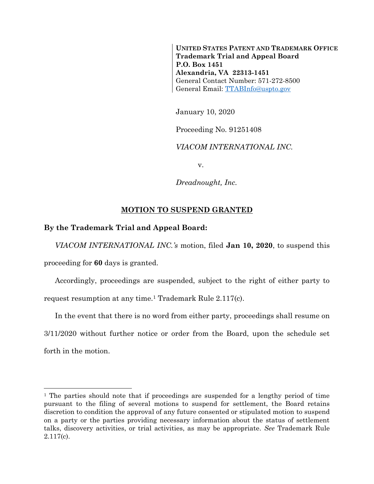**UNITED STATES PATENT AND TRADEMARK OFFICE Trademark Trial and Appeal Board P.O. Box 1451 Alexandria, VA 22313-1451** General Contact Number: 571-272-8500 General Email: [TTABInfo@uspto.gov](mailto:TTABInfo@uspto.gov)

January 10, 2020

Proceeding No. 91251408

*VIACOM INTERNATIONAL INC.*

v.

*Dreadnought, Inc.*

## **MOTION TO SUSPEND GRANTED**

## **By the Trademark Trial and Appeal Board:**

l

*VIACOM INTERNATIONAL INC.'s* motion, filed **Jan 10, 2020**, to suspend this proceeding for **60** days is granted.

Accordingly, proceedings are suspended, subject to the right of either party to request resumption at any time.<sup>1</sup> Trademark Rule 2.117(c).

In the event that there is no word from either party, proceedings shall resume on 3/11/2020 without further notice or order from the Board, upon the schedule set forth in the motion.

<sup>&</sup>lt;sup>1</sup> The parties should note that if proceedings are suspended for a lengthy period of time pursuant to the filing of several motions to suspend for settlement, the Board retains discretion to condition the approval of any future consented or stipulated motion to suspend on a party or the parties providing necessary information about the status of settlement talks, discovery activities, or trial activities, as may be appropriate. *See* Trademark Rule 2.117(c).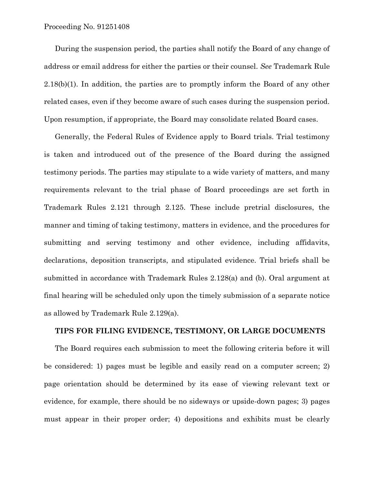During the suspension period, the parties shall notify the Board of any change of address or email address for either the parties or their counsel. *See* Trademark Rule 2.18(b)(1). In addition, the parties are to promptly inform the Board of any other related cases, even if they become aware of such cases during the suspension period. Upon resumption, if appropriate, the Board may consolidate related Board cases.

Generally, the Federal Rules of Evidence apply to Board trials. Trial testimony is taken and introduced out of the presence of the Board during the assigned testimony periods. The parties may stipulate to a wide variety of matters, and many requirements relevant to the trial phase of Board proceedings are set forth in Trademark Rules 2.121 through 2.125. These include pretrial disclosures, the manner and timing of taking testimony, matters in evidence, and the procedures for submitting and serving testimony and other evidence, including affidavits, declarations, deposition transcripts, and stipulated evidence. Trial briefs shall be submitted in accordance with Trademark Rules 2.128(a) and (b). Oral argument at final hearing will be scheduled only upon the timely submission of a separate notice as allowed by Trademark Rule 2.129(a).

## **TIPS FOR FILING EVIDENCE, TESTIMONY, OR LARGE DOCUMENTS**

The Board requires each submission to meet the following criteria before it will be considered: 1) pages must be legible and easily read on a computer screen; 2) page orientation should be determined by its ease of viewing relevant text or evidence, for example, there should be no sideways or upside-down pages; 3) pages must appear in their proper order; 4) depositions and exhibits must be clearly